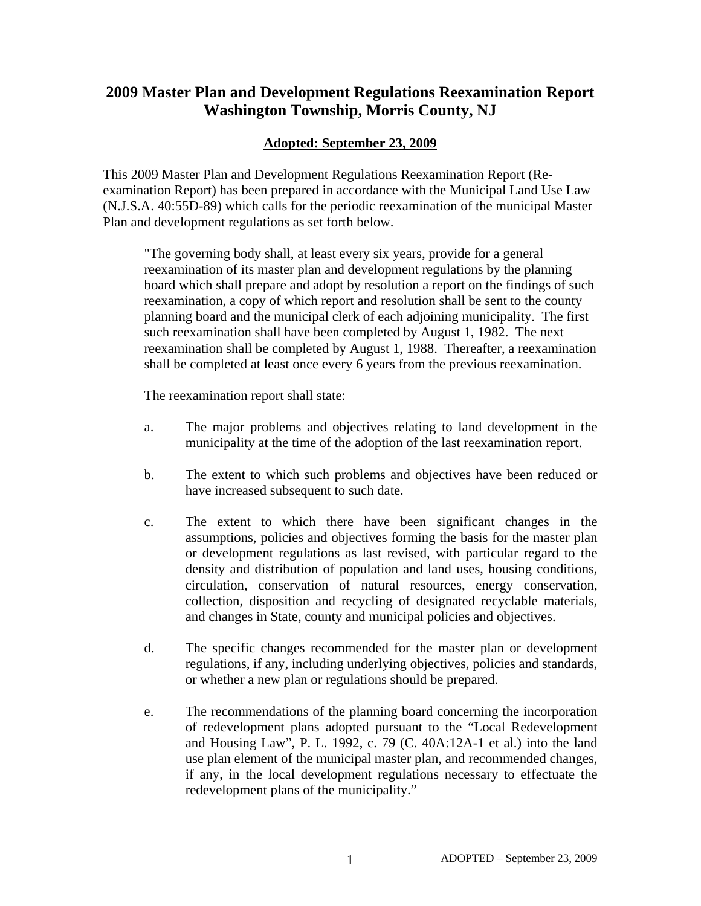# **2009 Master Plan and Development Regulations Reexamination Report Washington Township, Morris County, NJ**

# **Adopted: September 23, 2009**

This 2009 Master Plan and Development Regulations Reexamination Report (Reexamination Report) has been prepared in accordance with the Municipal Land Use Law (N.J.S.A. 40:55D-89) which calls for the periodic reexamination of the municipal Master Plan and development regulations as set forth below.

"The governing body shall, at least every six years, provide for a general reexamination of its master plan and development regulations by the planning board which shall prepare and adopt by resolution a report on the findings of such reexamination, a copy of which report and resolution shall be sent to the county planning board and the municipal clerk of each adjoining municipality. The first such reexamination shall have been completed by August 1, 1982. The next reexamination shall be completed by August 1, 1988. Thereafter, a reexamination shall be completed at least once every 6 years from the previous reexamination.

The reexamination report shall state:

- a. The major problems and objectives relating to land development in the municipality at the time of the adoption of the last reexamination report.
- b. The extent to which such problems and objectives have been reduced or have increased subsequent to such date.
- c. The extent to which there have been significant changes in the assumptions, policies and objectives forming the basis for the master plan or development regulations as last revised, with particular regard to the density and distribution of population and land uses, housing conditions, circulation, conservation of natural resources, energy conservation, collection, disposition and recycling of designated recyclable materials, and changes in State, county and municipal policies and objectives.
- d. The specific changes recommended for the master plan or development regulations, if any, including underlying objectives, policies and standards, or whether a new plan or regulations should be prepared.
- e. The recommendations of the planning board concerning the incorporation of redevelopment plans adopted pursuant to the "Local Redevelopment and Housing Law", P. L. 1992, c. 79 (C. 40A:12A-1 et al.) into the land use plan element of the municipal master plan, and recommended changes, if any, in the local development regulations necessary to effectuate the redevelopment plans of the municipality."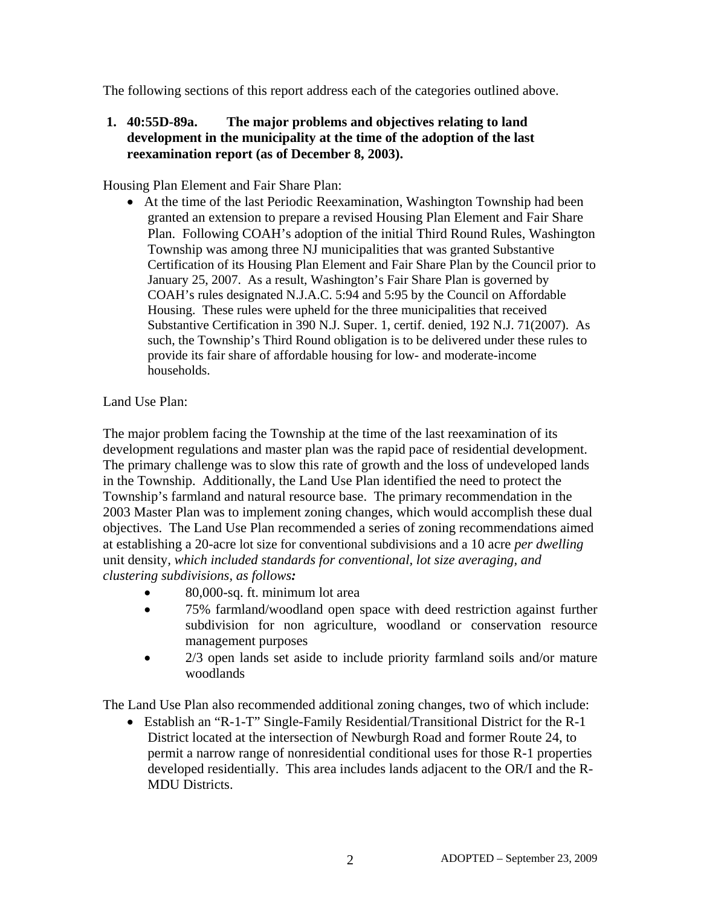The following sections of this report address each of the categories outlined above.

## **1. 40:55D-89a. The major problems and objectives relating to land development in the municipality at the time of the adoption of the last reexamination report (as of December 8, 2003).**

Housing Plan Element and Fair Share Plan:

• At the time of the last Periodic Reexamination, Washington Township had been granted an extension to prepare a revised Housing Plan Element and Fair Share Plan. Following COAH's adoption of the initial Third Round Rules, Washington Township was among three NJ municipalities that was granted Substantive Certification of its Housing Plan Element and Fair Share Plan by the Council prior to January 25, 2007. As a result, Washington's Fair Share Plan is governed by COAH's rules designated N.J.A.C. 5:94 and 5:95 by the Council on Affordable Housing. These rules were upheld for the three municipalities that received Substantive Certification in 390 N.J. Super. 1, certif. denied, 192 N.J. 71(2007). As such, the Township's Third Round obligation is to be delivered under these rules to provide its fair share of affordable housing for low- and moderate-income households.

## Land Use Plan:

The major problem facing the Township at the time of the last reexamination of its development regulations and master plan was the rapid pace of residential development. The primary challenge was to slow this rate of growth and the loss of undeveloped lands in the Township. Additionally, the Land Use Plan identified the need to protect the Township's farmland and natural resource base. The primary recommendation in the 2003 Master Plan was to implement zoning changes, which would accomplish these dual objectives. The Land Use Plan recommended a series of zoning recommendations aimed at establishing a 20-acre lot size for conventional subdivisions and a 10 acre *per dwelling*  unit density*, which included standards for conventional, lot size averaging, and clustering subdivisions, as follows:* 

- 80,000-sq. ft. minimum lot area
- 75% farmland/woodland open space with deed restriction against further subdivision for non agriculture, woodland or conservation resource management purposes
- 2/3 open lands set aside to include priority farmland soils and/or mature woodlands

The Land Use Plan also recommended additional zoning changes, two of which include:

• Establish an "R-1-T" Single-Family Residential/Transitional District for the R-1 District located at the intersection of Newburgh Road and former Route 24, to permit a narrow range of nonresidential conditional uses for those R-1 properties developed residentially. This area includes lands adjacent to the OR/I and the R-MDU Districts.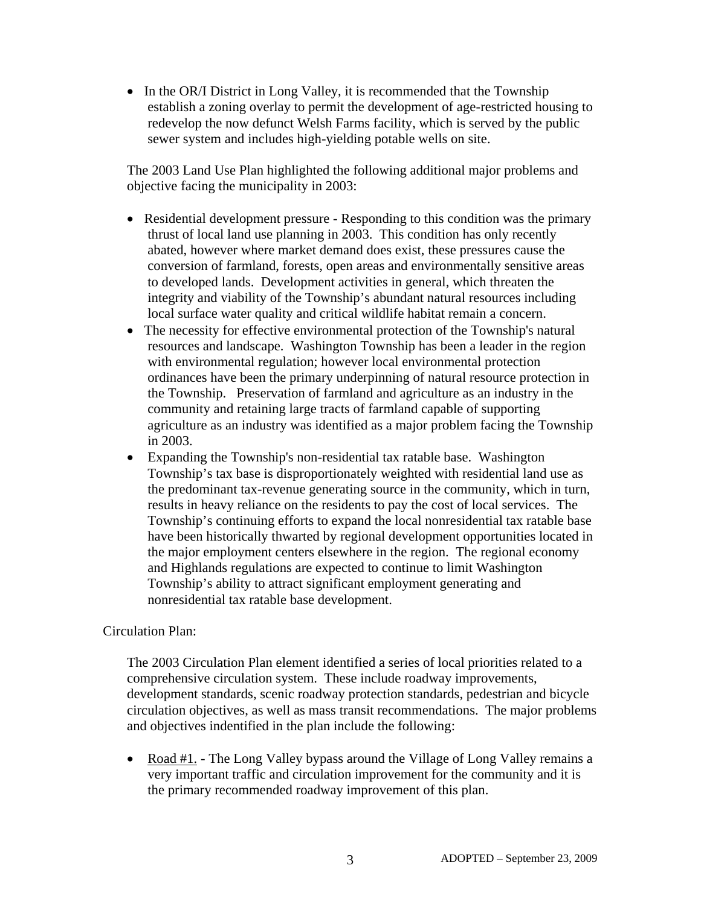• In the OR/I District in Long Valley, it is recommended that the Township establish a zoning overlay to permit the development of age-restricted housing to redevelop the now defunct Welsh Farms facility, which is served by the public sewer system and includes high-yielding potable wells on site.

The 2003 Land Use Plan highlighted the following additional major problems and objective facing the municipality in 2003:

- Residential development pressure Responding to this condition was the primary thrust of local land use planning in 2003. This condition has only recently abated, however where market demand does exist, these pressures cause the conversion of farmland, forests, open areas and environmentally sensitive areas to developed lands.Development activities in general, which threaten the integrity and viability of the Township's abundant natural resources including local surface water quality and critical wildlife habitat remain a concern.
- The necessity for effective environmental protection of the Township's natural resources and landscape. Washington Township has been a leader in the region with environmental regulation; however local environmental protection ordinances have been the primary underpinning of natural resource protection in the Township. Preservation of farmland and agriculture as an industry in the community and retaining large tracts of farmland capable of supporting agriculture as an industry was identified as a major problem facing the Township in 2003.
- Expanding the Township's non-residential tax ratable base. Washington Township's tax base is disproportionately weighted with residential land use as the predominant tax-revenue generating source in the community, which in turn, results in heavy reliance on the residents to pay the cost of local services. The Township's continuing efforts to expand the local nonresidential tax ratable base have been historically thwarted by regional development opportunities located in the major employment centers elsewhere in the region. The regional economy and Highlands regulations are expected to continue to limit Washington Township's ability to attract significant employment generating and nonresidential tax ratable base development.

## Circulation Plan:

The 2003 Circulation Plan element identified a series of local priorities related to a comprehensive circulation system. These include roadway improvements, development standards, scenic roadway protection standards, pedestrian and bicycle circulation objectives, as well as mass transit recommendations. The major problems and objectives indentified in the plan include the following:

• Road #1. - The Long Valley bypass around the Village of Long Valley remains a very important traffic and circulation improvement for the community and it is the primary recommended roadway improvement of this plan.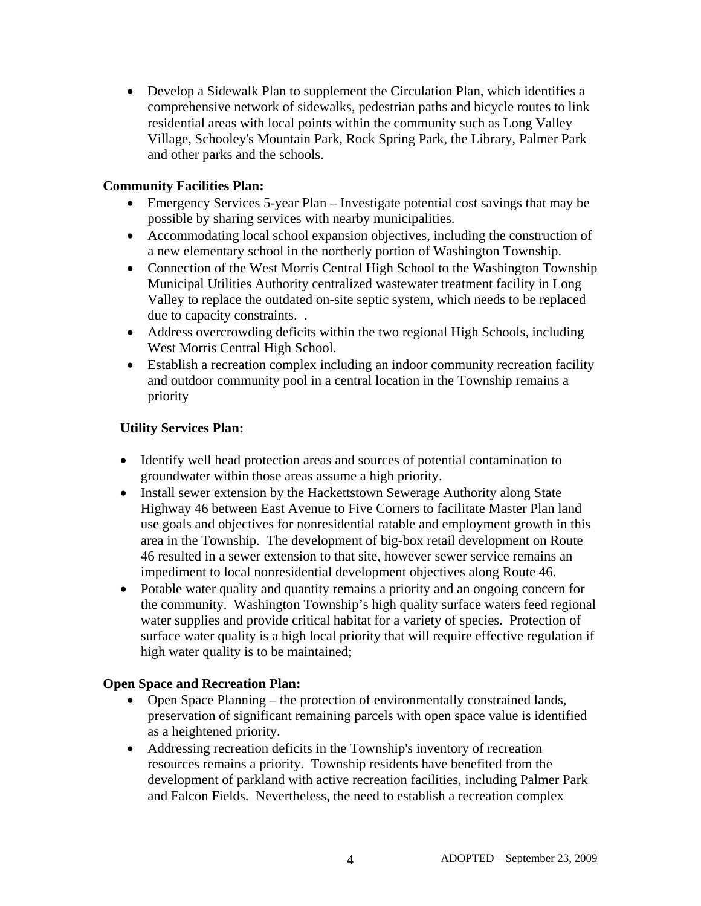• Develop a Sidewalk Plan to supplement the Circulation Plan, which identifies a comprehensive network of sidewalks, pedestrian paths and bicycle routes to link residential areas with local points within the community such as Long Valley Village, Schooley's Mountain Park, Rock Spring Park, the Library, Palmer Park and other parks and the schools.

## **Community Facilities Plan:**

- Emergency Services 5-year Plan Investigate potential cost savings that may be possible by sharing services with nearby municipalities.
- Accommodating local school expansion objectives, including the construction of a new elementary school in the northerly portion of Washington Township.
- Connection of the West Morris Central High School to the Washington Township Municipal Utilities Authority centralized wastewater treatment facility in Long Valley to replace the outdated on-site septic system, which needs to be replaced due to capacity constraints. .
- Address overcrowding deficits within the two regional High Schools, including West Morris Central High School.
- Establish a recreation complex including an indoor community recreation facility and outdoor community pool in a central location in the Township remains a priority

# **Utility Services Plan:**

- Identify well head protection areas and sources of potential contamination to groundwater within those areas assume a high priority.
- Install sewer extension by the Hackettstown Sewerage Authority along State Highway 46 between East Avenue to Five Corners to facilitate Master Plan land use goals and objectives for nonresidential ratable and employment growth in this area in the Township. The development of big-box retail development on Route 46 resulted in a sewer extension to that site, however sewer service remains an impediment to local nonresidential development objectives along Route 46.
- Potable water quality and quantity remains a priority and an ongoing concern for the community. Washington Township's high quality surface waters feed regional water supplies and provide critical habitat for a variety of species. Protection of surface water quality is a high local priority that will require effective regulation if high water quality is to be maintained;

## **Open Space and Recreation Plan:**

- Open Space Planning the protection of environmentally constrained lands, preservation of significant remaining parcels with open space value is identified as a heightened priority.
- Addressing recreation deficits in the Township's inventory of recreation resources remains a priority. Township residents have benefited from the development of parkland with active recreation facilities, including Palmer Park and Falcon Fields. Nevertheless, the need to establish a recreation complex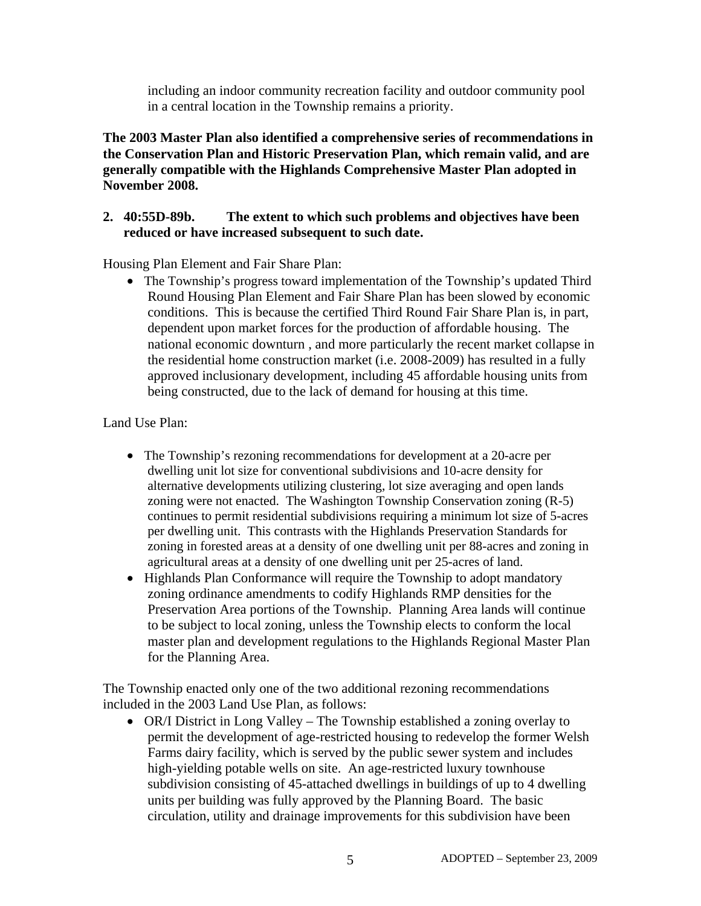including an indoor community recreation facility and outdoor community pool in a central location in the Township remains a priority.

**The 2003 Master Plan also identified a comprehensive series of recommendations in the Conservation Plan and Historic Preservation Plan, which remain valid, and are generally compatible with the Highlands Comprehensive Master Plan adopted in November 2008.** 

## **2. 40:55D-89b. The extent to which such problems and objectives have been reduced or have increased subsequent to such date.**

Housing Plan Element and Fair Share Plan:

• The Township's progress toward implementation of the Township's updated Third Round Housing Plan Element and Fair Share Plan has been slowed by economic conditions. This is because the certified Third Round Fair Share Plan is, in part, dependent upon market forces for the production of affordable housing. The national economic downturn , and more particularly the recent market collapse in the residential home construction market (i.e. 2008-2009) has resulted in a fully approved inclusionary development, including 45 affordable housing units from being constructed, due to the lack of demand for housing at this time.

Land Use Plan:

- The Township's rezoning recommendations for development at a 20-acre per dwelling unit lot size for conventional subdivisions and 10-acre density for alternative developments utilizing clustering, lot size averaging and open lands zoning were not enacted. The Washington Township Conservation zoning (R-5) continues to permit residential subdivisions requiring a minimum lot size of 5-acres per dwelling unit. This contrasts with the Highlands Preservation Standards for zoning in forested areas at a density of one dwelling unit per 88-acres and zoning in agricultural areas at a density of one dwelling unit per 25-acres of land.
- Highlands Plan Conformance will require the Township to adopt mandatory zoning ordinance amendments to codify Highlands RMP densities for the Preservation Area portions of the Township. Planning Area lands will continue to be subject to local zoning, unless the Township elects to conform the local master plan and development regulations to the Highlands Regional Master Plan for the Planning Area.

The Township enacted only one of the two additional rezoning recommendations included in the 2003 Land Use Plan, as follows:

• OR/I District in Long Valley – The Township established a zoning overlay to permit the development of age-restricted housing to redevelop the former Welsh Farms dairy facility, which is served by the public sewer system and includes high-yielding potable wells on site. An age-restricted luxury townhouse subdivision consisting of 45-attached dwellings in buildings of up to 4 dwelling units per building was fully approved by the Planning Board. The basic circulation, utility and drainage improvements for this subdivision have been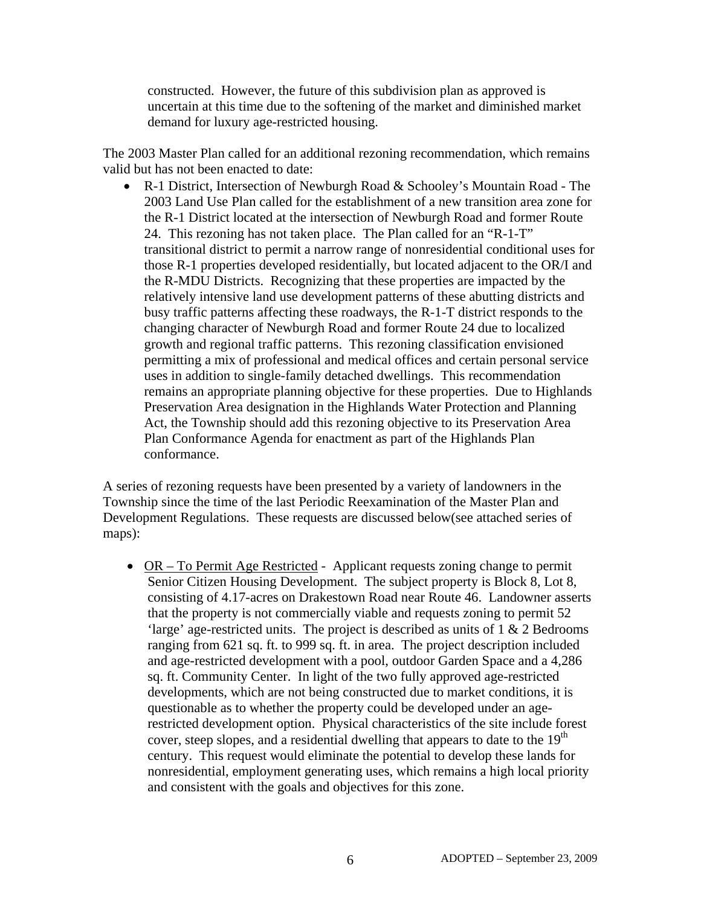constructed. However, the future of this subdivision plan as approved is uncertain at this time due to the softening of the market and diminished market demand for luxury age-restricted housing.

The 2003 Master Plan called for an additional rezoning recommendation, which remains valid but has not been enacted to date:

• R-1 District, Intersection of Newburgh Road & Schooley's Mountain Road - The 2003 Land Use Plan called for the establishment of a new transition area zone for the R-1 District located at the intersection of Newburgh Road and former Route 24. This rezoning has not taken place. The Plan called for an "R-1-T" transitional district to permit a narrow range of nonresidential conditional uses for those R-1 properties developed residentially, but located adjacent to the OR/I and the R-MDU Districts. Recognizing that these properties are impacted by the relatively intensive land use development patterns of these abutting districts and busy traffic patterns affecting these roadways, the R-1-T district responds to the changing character of Newburgh Road and former Route 24 due to localized growth and regional traffic patterns. This rezoning classification envisioned permitting a mix of professional and medical offices and certain personal service uses in addition to single-family detached dwellings. This recommendation remains an appropriate planning objective for these properties. Due to Highlands Preservation Area designation in the Highlands Water Protection and Planning Act, the Township should add this rezoning objective to its Preservation Area Plan Conformance Agenda for enactment as part of the Highlands Plan conformance.

A series of rezoning requests have been presented by a variety of landowners in the Township since the time of the last Periodic Reexamination of the Master Plan and Development Regulations. These requests are discussed below(see attached series of maps):

• OR – To Permit Age Restricted - Applicant requests zoning change to permit Senior Citizen Housing Development. The subject property is Block 8, Lot 8, consisting of 4.17-acres on Drakestown Road near Route 46. Landowner asserts that the property is not commercially viable and requests zoning to permit 52 'large' age-restricted units. The project is described as units of 1 & 2 Bedrooms ranging from 621 sq. ft. to 999 sq. ft. in area. The project description included and age-restricted development with a pool, outdoor Garden Space and a 4,286 sq. ft. Community Center. In light of the two fully approved age-restricted developments, which are not being constructed due to market conditions, it is questionable as to whether the property could be developed under an agerestricted development option. Physical characteristics of the site include forest cover, steep slopes, and a residential dwelling that appears to date to the  $19<sup>th</sup>$ century. This request would eliminate the potential to develop these lands for nonresidential, employment generating uses, which remains a high local priority and consistent with the goals and objectives for this zone.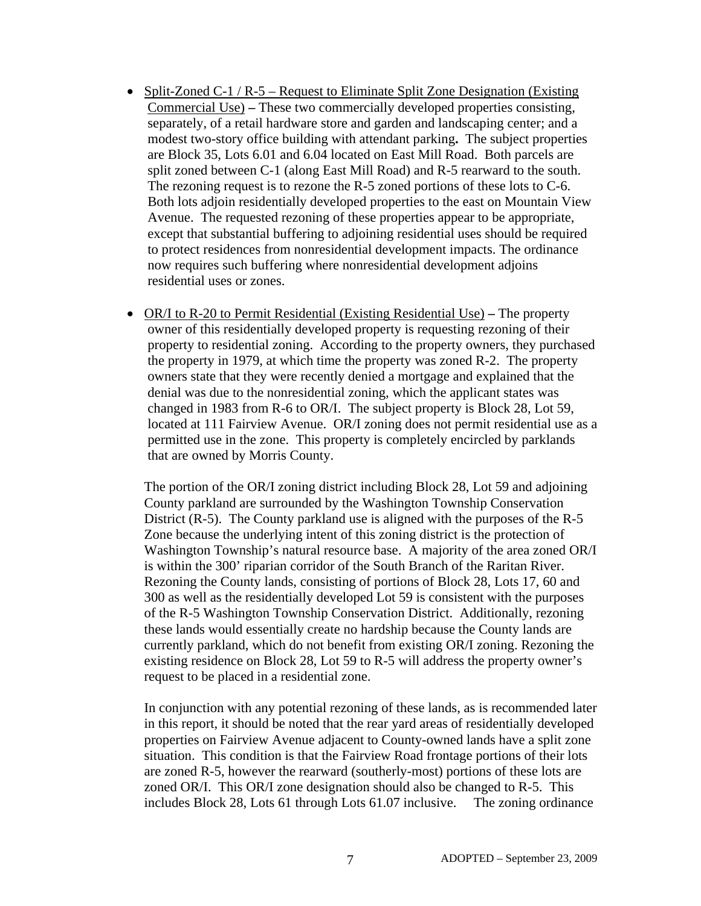- Split-Zoned C-1 / R-5 Request to Eliminate Split Zone Designation (Existing Commercial Use) **–** These two commercially developed properties consisting, separately, of a retail hardware store and garden and landscaping center; and a modest two-story office building with attendant parking**.** The subject properties are Block 35, Lots 6.01 and 6.04 located on East Mill Road. Both parcels are split zoned between C-1 (along East Mill Road) and R-5 rearward to the south. The rezoning request is to rezone the R-5 zoned portions of these lots to C-6. Both lots adjoin residentially developed properties to the east on Mountain View Avenue. The requested rezoning of these properties appear to be appropriate, except that substantial buffering to adjoining residential uses should be required to protect residences from nonresidential development impacts. The ordinance now requires such buffering where nonresidential development adjoins residential uses or zones.
- OR/I to R-20 to Permit Residential (Existing Residential Use)The property owner of this residentially developed property is requesting rezoning of their property to residential zoning. According to the property owners, they purchased the property in 1979, at which time the property was zoned R-2. The property owners state that they were recently denied a mortgage and explained that the denial was due to the nonresidential zoning, which the applicant states was changed in 1983 from R-6 to OR/I. The subject property is Block 28, Lot 59, located at 111 Fairview Avenue. OR/I zoning does not permit residential use as a permitted use in the zone. This property is completely encircled by parklands that are owned by Morris County.

The portion of the OR/I zoning district including Block 28, Lot 59 and adjoining County parkland are surrounded by the Washington Township Conservation District (R-5). The County parkland use is aligned with the purposes of the R-5 Zone because the underlying intent of this zoning district is the protection of Washington Township's natural resource base. A majority of the area zoned OR/I is within the 300' riparian corridor of the South Branch of the Raritan River. Rezoning the County lands, consisting of portions of Block 28, Lots 17, 60 and 300 as well as the residentially developed Lot 59 is consistent with the purposes of the R-5 Washington Township Conservation District. Additionally, rezoning these lands would essentially create no hardship because the County lands are currently parkland, which do not benefit from existing OR/I zoning. Rezoning the existing residence on Block 28, Lot 59 to R-5 will address the property owner's request to be placed in a residential zone.

In conjunction with any potential rezoning of these lands, as is recommended later in this report, it should be noted that the rear yard areas of residentially developed properties on Fairview Avenue adjacent to County-owned lands have a split zone situation. This condition is that the Fairview Road frontage portions of their lots are zoned R-5, however the rearward (southerly-most) portions of these lots are zoned OR/I. This OR/I zone designation should also be changed to R-5. This includes Block 28, Lots 61 through Lots 61.07 inclusive. The zoning ordinance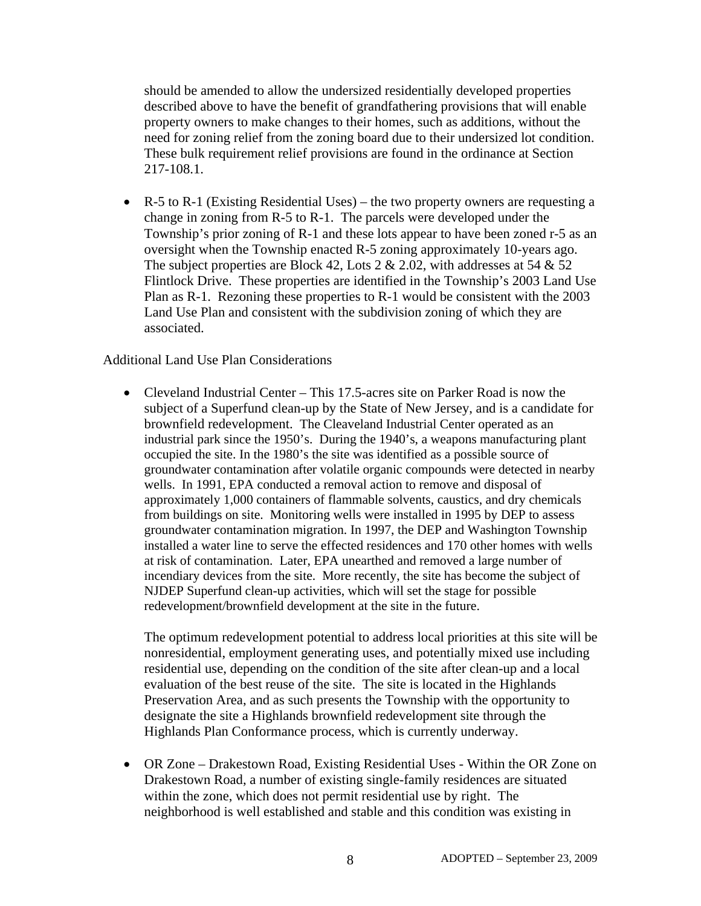should be amended to allow the undersized residentially developed properties described above to have the benefit of grandfathering provisions that will enable property owners to make changes to their homes, such as additions, without the need for zoning relief from the zoning board due to their undersized lot condition. These bulk requirement relief provisions are found in the ordinance at Section 217-108.1.

• R-5 to R-1 (Existing Residential Uses) – the two property owners are requesting a change in zoning from R-5 to R-1. The parcels were developed under the Township's prior zoning of R-1 and these lots appear to have been zoned r-5 as an oversight when the Township enacted R-5 zoning approximately 10-years ago. The subject properties are Block 42, Lots 2  $\&$  2.02, with addresses at 54  $\&$  52 Flintlock Drive. These properties are identified in the Township's 2003 Land Use Plan as R-1. Rezoning these properties to R-1 would be consistent with the 2003 Land Use Plan and consistent with the subdivision zoning of which they are associated.

#### Additional Land Use Plan Considerations

• Cleveland Industrial Center – This 17.5-acres site on Parker Road is now the subject of a Superfund clean-up by the State of New Jersey, and is a candidate for brownfield redevelopment. The Cleaveland Industrial Center operated as an industrial park since the 1950's. During the 1940's, a weapons manufacturing plant occupied the site. In the 1980's the site was identified as a possible source of groundwater contamination after volatile organic compounds were detected in nearby wells. In 1991, EPA conducted a removal action to remove and disposal of approximately 1,000 containers of flammable solvents, caustics, and dry chemicals from buildings on site. Monitoring wells were installed in 1995 by DEP to assess groundwater contamination migration. In 1997, the DEP and Washington Township installed a water line to serve the effected residences and 170 other homes with wells at risk of contamination. Later, EPA unearthed and removed a large number of incendiary devices from the site. More recently, the site has become the subject of NJDEP Superfund clean-up activities, which will set the stage for possible redevelopment/brownfield development at the site in the future.

The optimum redevelopment potential to address local priorities at this site will be nonresidential, employment generating uses, and potentially mixed use including residential use, depending on the condition of the site after clean-up and a local evaluation of the best reuse of the site. The site is located in the Highlands Preservation Area, and as such presents the Township with the opportunity to designate the site a Highlands brownfield redevelopment site through the Highlands Plan Conformance process, which is currently underway.

• OR Zone – Drakestown Road, Existing Residential Uses - Within the OR Zone on Drakestown Road, a number of existing single-family residences are situated within the zone, which does not permit residential use by right. The neighborhood is well established and stable and this condition was existing in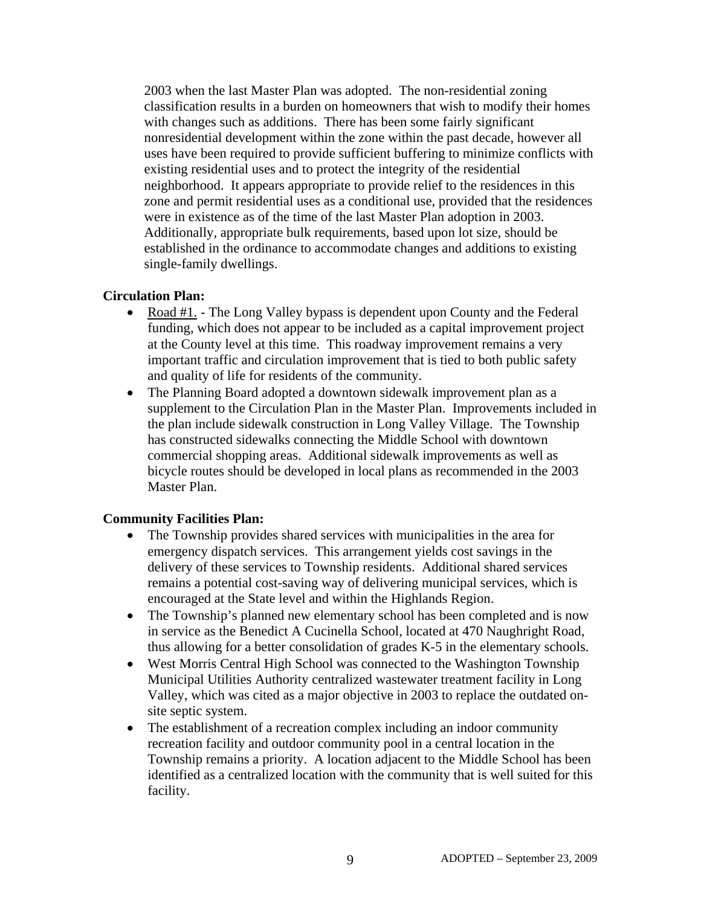2003 when the last Master Plan was adopted. The non-residential zoning classification results in a burden on homeowners that wish to modify their homes with changes such as additions. There has been some fairly significant nonresidential development within the zone within the past decade, however all uses have been required to provide sufficient buffering to minimize conflicts with existing residential uses and to protect the integrity of the residential neighborhood. It appears appropriate to provide relief to the residences in this zone and permit residential uses as a conditional use, provided that the residences were in existence as of the time of the last Master Plan adoption in 2003. Additionally, appropriate bulk requirements, based upon lot size, should be established in the ordinance to accommodate changes and additions to existing single-family dwellings.

### **Circulation Plan:**

- Road #1. The Long Valley bypass is dependent upon County and the Federal funding, which does not appear to be included as a capital improvement project at the County level at this time. This roadway improvement remains a very important traffic and circulation improvement that is tied to both public safety and quality of life for residents of the community.
- The Planning Board adopted a downtown sidewalk improvement plan as a supplement to the Circulation Plan in the Master Plan. Improvements included in the plan include sidewalk construction in Long Valley Village. The Township has constructed sidewalks connecting the Middle School with downtown commercial shopping areas. Additional sidewalk improvements as well as bicycle routes should be developed in local plans as recommended in the 2003 Master Plan.

## **Community Facilities Plan:**

- The Township provides shared services with municipalities in the area for emergency dispatch services. This arrangement yields cost savings in the delivery of these services to Township residents. Additional shared services remains a potential cost-saving way of delivering municipal services, which is encouraged at the State level and within the Highlands Region.
- The Township's planned new elementary school has been completed and is now in service as the Benedict A Cucinella School, located at 470 Naughright Road, thus allowing for a better consolidation of grades K-5 in the elementary schools.
- West Morris Central High School was connected to the Washington Township Municipal Utilities Authority centralized wastewater treatment facility in Long Valley, which was cited as a major objective in 2003 to replace the outdated onsite septic system.
- The establishment of a recreation complex including an indoor community recreation facility and outdoor community pool in a central location in the Township remains a priority. A location adjacent to the Middle School has been identified as a centralized location with the community that is well suited for this facility.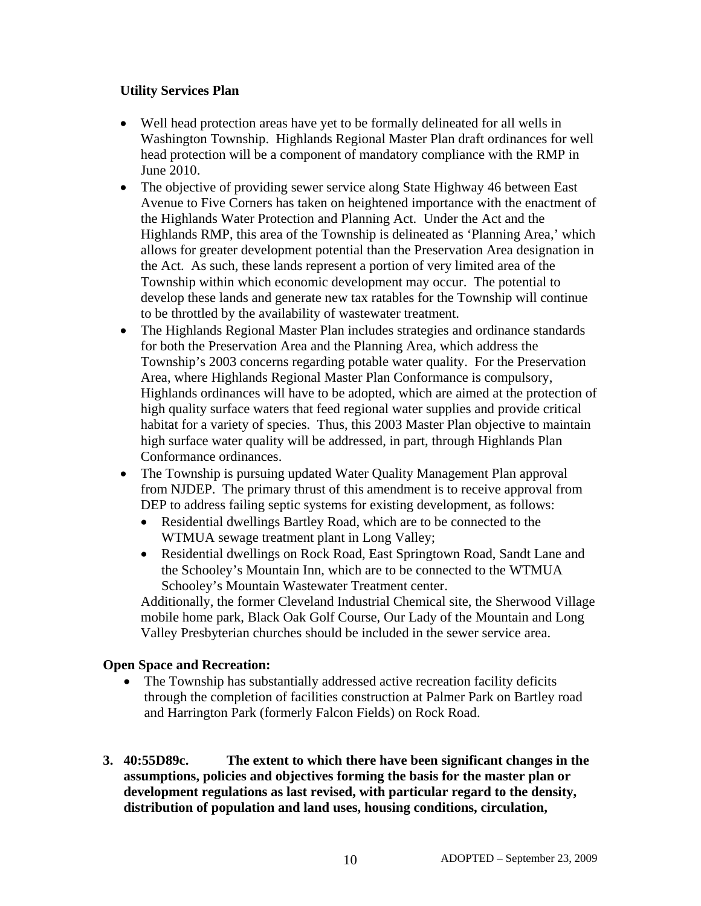## **Utility Services Plan**

- Well head protection areas have yet to be formally delineated for all wells in Washington Township. Highlands Regional Master Plan draft ordinances for well head protection will be a component of mandatory compliance with the RMP in June 2010.
- The objective of providing sewer service along State Highway 46 between East Avenue to Five Corners has taken on heightened importance with the enactment of the Highlands Water Protection and Planning Act. Under the Act and the Highlands RMP, this area of the Township is delineated as 'Planning Area,' which allows for greater development potential than the Preservation Area designation in the Act. As such, these lands represent a portion of very limited area of the Township within which economic development may occur. The potential to develop these lands and generate new tax ratables for the Township will continue to be throttled by the availability of wastewater treatment.
- The Highlands Regional Master Plan includes strategies and ordinance standards for both the Preservation Area and the Planning Area, which address the Township's 2003 concerns regarding potable water quality. For the Preservation Area, where Highlands Regional Master Plan Conformance is compulsory, Highlands ordinances will have to be adopted, which are aimed at the protection of high quality surface waters that feed regional water supplies and provide critical habitat for a variety of species. Thus, this 2003 Master Plan objective to maintain high surface water quality will be addressed, in part, through Highlands Plan Conformance ordinances.
- The Township is pursuing updated Water Quality Management Plan approval from NJDEP. The primary thrust of this amendment is to receive approval from DEP to address failing septic systems for existing development, as follows:
	- Residential dwellings Bartley Road, which are to be connected to the WTMUA sewage treatment plant in Long Valley;
	- Residential dwellings on Rock Road, East Springtown Road, Sandt Lane and the Schooley's Mountain Inn, which are to be connected to the WTMUA Schooley's Mountain Wastewater Treatment center.

Additionally, the former Cleveland Industrial Chemical site, the Sherwood Village mobile home park, Black Oak Golf Course, Our Lady of the Mountain and Long Valley Presbyterian churches should be included in the sewer service area.

# **Open Space and Recreation:**

- The Township has substantially addressed active recreation facility deficits through the completion of facilities construction at Palmer Park on Bartley road and Harrington Park (formerly Falcon Fields) on Rock Road.
- **3. 40:55D89c. The extent to which there have been significant changes in the assumptions, policies and objectives forming the basis for the master plan or development regulations as last revised, with particular regard to the density, distribution of population and land uses, housing conditions, circulation,**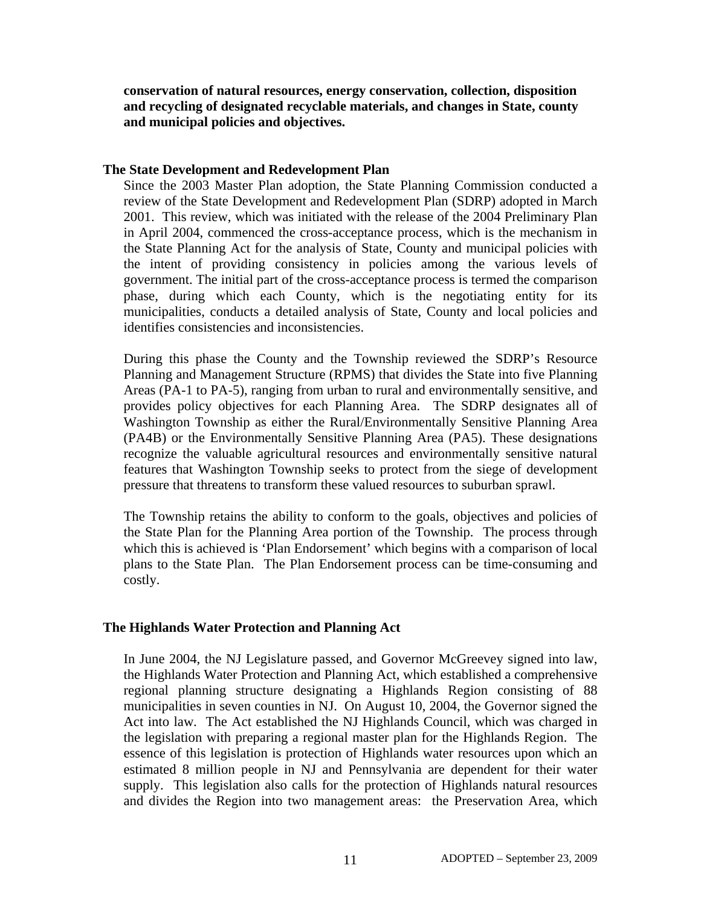**conservation of natural resources, energy conservation, collection, disposition and recycling of designated recyclable materials, and changes in State, county and municipal policies and objectives.** 

#### **The State Development and Redevelopment Plan**

Since the 2003 Master Plan adoption, the State Planning Commission conducted a review of the State Development and Redevelopment Plan (SDRP) adopted in March 2001. This review, which was initiated with the release of the 2004 Preliminary Plan in April 2004, commenced the cross-acceptance process, which is the mechanism in the State Planning Act for the analysis of State, County and municipal policies with the intent of providing consistency in policies among the various levels of government. The initial part of the cross-acceptance process is termed the comparison phase, during which each County, which is the negotiating entity for its municipalities, conducts a detailed analysis of State, County and local policies and identifies consistencies and inconsistencies.

During this phase the County and the Township reviewed the SDRP's Resource Planning and Management Structure (RPMS) that divides the State into five Planning Areas (PA-1 to PA-5), ranging from urban to rural and environmentally sensitive, and provides policy objectives for each Planning Area. The SDRP designates all of Washington Township as either the Rural/Environmentally Sensitive Planning Area (PA4B) or the Environmentally Sensitive Planning Area (PA5). These designations recognize the valuable agricultural resources and environmentally sensitive natural features that Washington Township seeks to protect from the siege of development pressure that threatens to transform these valued resources to suburban sprawl.

The Township retains the ability to conform to the goals, objectives and policies of the State Plan for the Planning Area portion of the Township. The process through which this is achieved is 'Plan Endorsement' which begins with a comparison of local plans to the State Plan. The Plan Endorsement process can be time-consuming and costly.

## **The Highlands Water Protection and Planning Act**

In June 2004, the NJ Legislature passed, and Governor McGreevey signed into law, the Highlands Water Protection and Planning Act, which established a comprehensive regional planning structure designating a Highlands Region consisting of 88 municipalities in seven counties in NJ. On August 10, 2004, the Governor signed the Act into law. The Act established the NJ Highlands Council, which was charged in the legislation with preparing a regional master plan for the Highlands Region. The essence of this legislation is protection of Highlands water resources upon which an estimated 8 million people in NJ and Pennsylvania are dependent for their water supply. This legislation also calls for the protection of Highlands natural resources and divides the Region into two management areas: the Preservation Area, which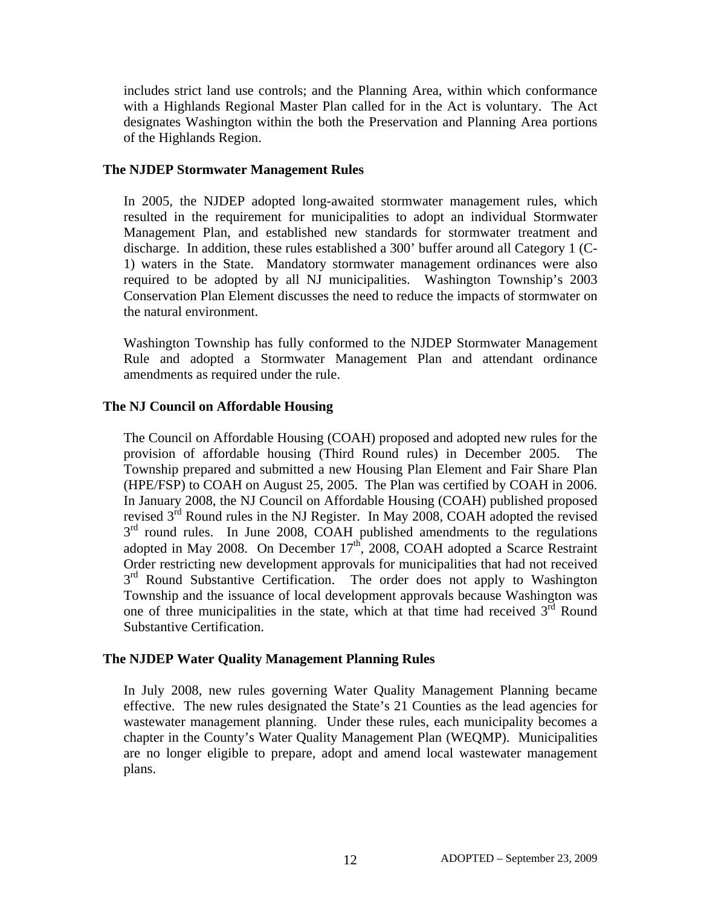includes strict land use controls; and the Planning Area, within which conformance with a Highlands Regional Master Plan called for in the Act is voluntary. The Act designates Washington within the both the Preservation and Planning Area portions of the Highlands Region.

### **The NJDEP Stormwater Management Rules**

In 2005, the NJDEP adopted long-awaited stormwater management rules, which resulted in the requirement for municipalities to adopt an individual Stormwater Management Plan, and established new standards for stormwater treatment and discharge. In addition, these rules established a 300' buffer around all Category 1 (C-1) waters in the State. Mandatory stormwater management ordinances were also required to be adopted by all NJ municipalities. Washington Township's 2003 Conservation Plan Element discusses the need to reduce the impacts of stormwater on the natural environment.

Washington Township has fully conformed to the NJDEP Stormwater Management Rule and adopted a Stormwater Management Plan and attendant ordinance amendments as required under the rule.

## **The NJ Council on Affordable Housing**

The Council on Affordable Housing (COAH) proposed and adopted new rules for the provision of affordable housing (Third Round rules) in December 2005. The Township prepared and submitted a new Housing Plan Element and Fair Share Plan (HPE/FSP) to COAH on August 25, 2005. The Plan was certified by COAH in 2006. In January 2008, the NJ Council on Affordable Housing (COAH) published proposed revised 3<sup>rd</sup> Round rules in the NJ Register. In May 2008, COAH adopted the revised  $3<sup>rd</sup>$  round rules. In June 2008, COAH published amendments to the regulations adopted in May 2008. On December  $17<sup>th</sup>$ , 2008, COAH adopted a Scarce Restraint Order restricting new development approvals for municipalities that had not received 3<sup>rd</sup> Round Substantive Certification. The order does not apply to Washington Township and the issuance of local development approvals because Washington was one of three municipalities in the state, which at that time had received  $3^{\overline{rd}}$  Round Substantive Certification.

## **The NJDEP Water Quality Management Planning Rules**

In July 2008, new rules governing Water Quality Management Planning became effective. The new rules designated the State's 21 Counties as the lead agencies for wastewater management planning. Under these rules, each municipality becomes a chapter in the County's Water Quality Management Plan (WEQMP). Municipalities are no longer eligible to prepare, adopt and amend local wastewater management plans.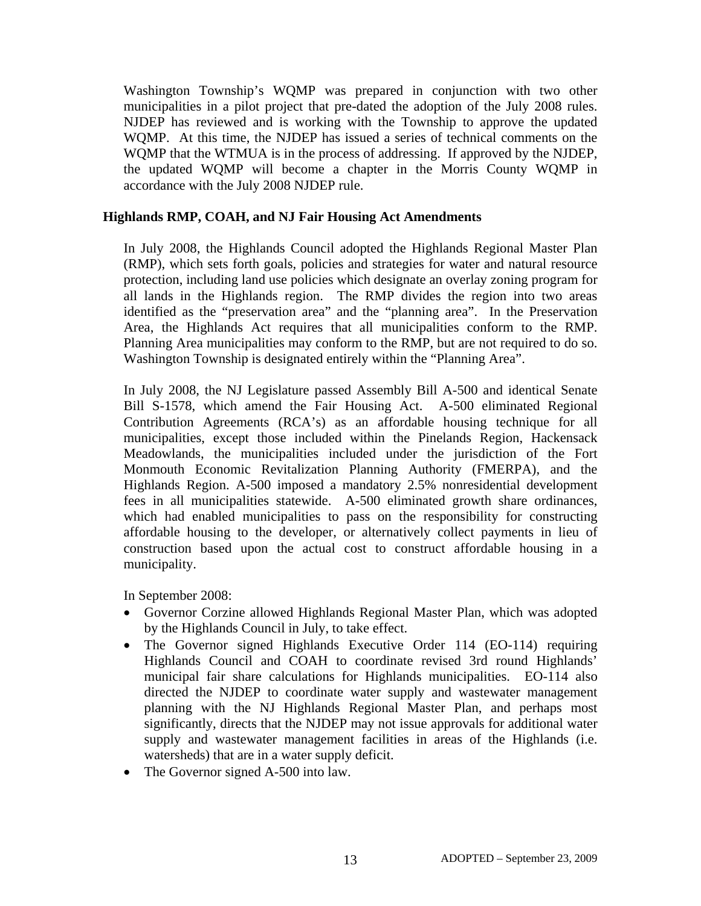Washington Township's WQMP was prepared in conjunction with two other municipalities in a pilot project that pre-dated the adoption of the July 2008 rules. NJDEP has reviewed and is working with the Township to approve the updated WQMP. At this time, the NJDEP has issued a series of technical comments on the WQMP that the WTMUA is in the process of addressing. If approved by the NJDEP, the updated WQMP will become a chapter in the Morris County WQMP in accordance with the July 2008 NJDEP rule.

### **Highlands RMP, COAH, and NJ Fair Housing Act Amendments**

In July 2008, the Highlands Council adopted the Highlands Regional Master Plan (RMP), which sets forth goals, policies and strategies for water and natural resource protection, including land use policies which designate an overlay zoning program for all lands in the Highlands region. The RMP divides the region into two areas identified as the "preservation area" and the "planning area". In the Preservation Area, the Highlands Act requires that all municipalities conform to the RMP. Planning Area municipalities may conform to the RMP, but are not required to do so. Washington Township is designated entirely within the "Planning Area".

In July 2008, the NJ Legislature passed Assembly Bill A-500 and identical Senate Bill S-1578, which amend the Fair Housing Act. A-500 eliminated Regional Contribution Agreements (RCA's) as an affordable housing technique for all municipalities, except those included within the Pinelands Region, Hackensack Meadowlands, the municipalities included under the jurisdiction of the Fort Monmouth Economic Revitalization Planning Authority (FMERPA), and the Highlands Region. A-500 imposed a mandatory 2.5% nonresidential development fees in all municipalities statewide. A-500 eliminated growth share ordinances, which had enabled municipalities to pass on the responsibility for constructing affordable housing to the developer, or alternatively collect payments in lieu of construction based upon the actual cost to construct affordable housing in a municipality.

In September 2008:

- Governor Corzine allowed Highlands Regional Master Plan, which was adopted by the Highlands Council in July, to take effect.
- The Governor signed Highlands Executive Order 114 (EO-114) requiring Highlands Council and COAH to coordinate revised 3rd round Highlands' municipal fair share calculations for Highlands municipalities. EO-114 also directed the NJDEP to coordinate water supply and wastewater management planning with the NJ Highlands Regional Master Plan, and perhaps most significantly, directs that the NJDEP may not issue approvals for additional water supply and wastewater management facilities in areas of the Highlands (i.e. watersheds) that are in a water supply deficit.
- The Governor signed A-500 into law.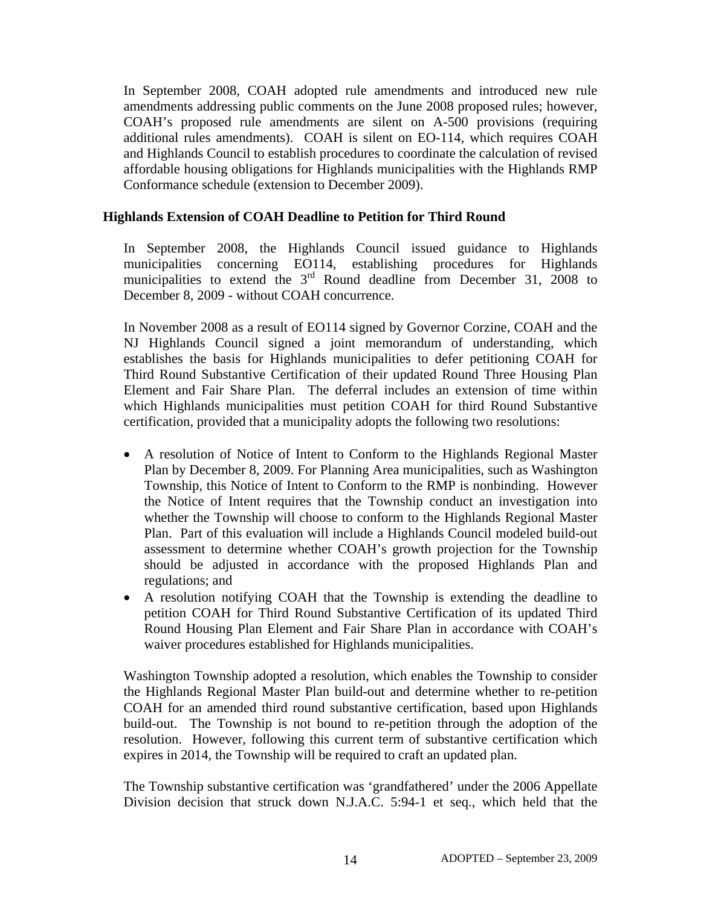In September 2008, COAH adopted rule amendments and introduced new rule amendments addressing public comments on the June 2008 proposed rules; however, COAH's proposed rule amendments are silent on A-500 provisions (requiring additional rules amendments). COAH is silent on EO-114, which requires COAH and Highlands Council to establish procedures to coordinate the calculation of revised affordable housing obligations for Highlands municipalities with the Highlands RMP Conformance schedule (extension to December 2009).

## **Highlands Extension of COAH Deadline to Petition for Third Round**

In September 2008, the Highlands Council issued guidance to Highlands municipalities concerning EO114, establishing procedures for Highlands municipalities to extend the  $3<sup>rd</sup>$  Round deadline from December 31, 2008 to December 8, 2009 - without COAH concurrence.

In November 2008 as a result of EO114 signed by Governor Corzine, COAH and the NJ Highlands Council signed a joint memorandum of understanding, which establishes the basis for Highlands municipalities to defer petitioning COAH for Third Round Substantive Certification of their updated Round Three Housing Plan Element and Fair Share Plan. The deferral includes an extension of time within which Highlands municipalities must petition COAH for third Round Substantive certification, provided that a municipality adopts the following two resolutions:

- A resolution of Notice of Intent to Conform to the Highlands Regional Master Plan by December 8, 2009. For Planning Area municipalities, such as Washington Township, this Notice of Intent to Conform to the RMP is nonbinding. However the Notice of Intent requires that the Township conduct an investigation into whether the Township will choose to conform to the Highlands Regional Master Plan. Part of this evaluation will include a Highlands Council modeled build-out assessment to determine whether COAH's growth projection for the Township should be adjusted in accordance with the proposed Highlands Plan and regulations; and
- A resolution notifying COAH that the Township is extending the deadline to petition COAH for Third Round Substantive Certification of its updated Third Round Housing Plan Element and Fair Share Plan in accordance with COAH's waiver procedures established for Highlands municipalities.

Washington Township adopted a resolution, which enables the Township to consider the Highlands Regional Master Plan build-out and determine whether to re-petition COAH for an amended third round substantive certification, based upon Highlands build-out. The Township is not bound to re-petition through the adoption of the resolution. However, following this current term of substantive certification which expires in 2014, the Township will be required to craft an updated plan.

The Township substantive certification was 'grandfathered' under the 2006 Appellate Division decision that struck down N.J.A.C. 5:94-1 et seq., which held that the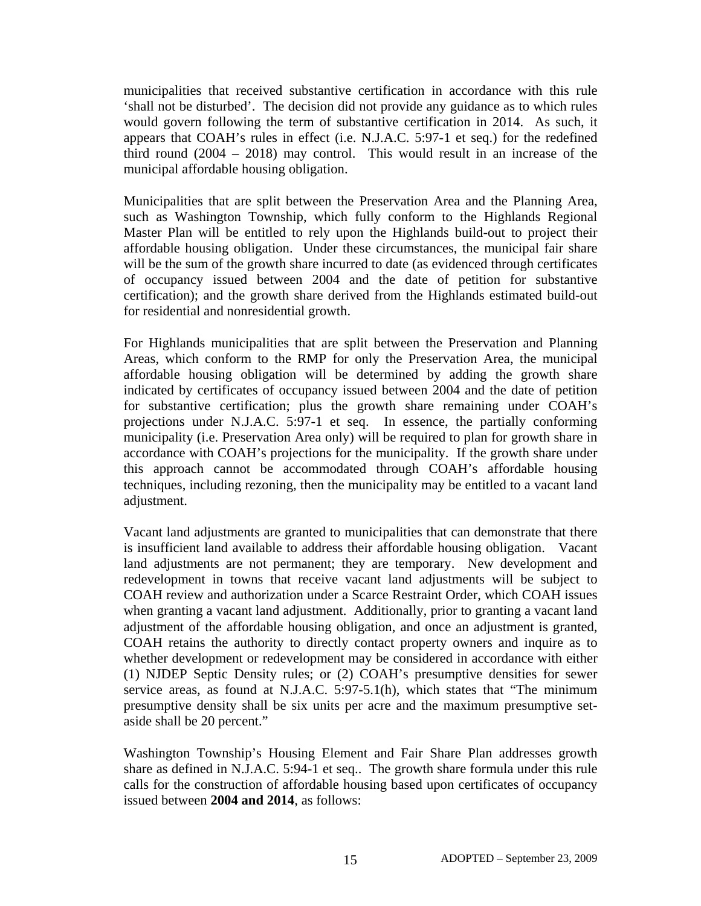municipalities that received substantive certification in accordance with this rule 'shall not be disturbed'. The decision did not provide any guidance as to which rules would govern following the term of substantive certification in 2014. As such, it appears that COAH's rules in effect (i.e. N.J.A.C. 5:97-1 et seq.) for the redefined third round (2004 – 2018) may control. This would result in an increase of the municipal affordable housing obligation.

Municipalities that are split between the Preservation Area and the Planning Area, such as Washington Township, which fully conform to the Highlands Regional Master Plan will be entitled to rely upon the Highlands build-out to project their affordable housing obligation. Under these circumstances, the municipal fair share will be the sum of the growth share incurred to date (as evidenced through certificates of occupancy issued between 2004 and the date of petition for substantive certification); and the growth share derived from the Highlands estimated build-out for residential and nonresidential growth.

For Highlands municipalities that are split between the Preservation and Planning Areas, which conform to the RMP for only the Preservation Area, the municipal affordable housing obligation will be determined by adding the growth share indicated by certificates of occupancy issued between 2004 and the date of petition for substantive certification; plus the growth share remaining under COAH's projections under N.J.A.C. 5:97-1 et seq. In essence, the partially conforming municipality (i.e. Preservation Area only) will be required to plan for growth share in accordance with COAH's projections for the municipality. If the growth share under this approach cannot be accommodated through COAH's affordable housing techniques, including rezoning, then the municipality may be entitled to a vacant land adjustment.

Vacant land adjustments are granted to municipalities that can demonstrate that there is insufficient land available to address their affordable housing obligation. Vacant land adjustments are not permanent; they are temporary. New development and redevelopment in towns that receive vacant land adjustments will be subject to COAH review and authorization under a Scarce Restraint Order, which COAH issues when granting a vacant land adjustment. Additionally, prior to granting a vacant land adjustment of the affordable housing obligation, and once an adjustment is granted, COAH retains the authority to directly contact property owners and inquire as to whether development or redevelopment may be considered in accordance with either (1) NJDEP Septic Density rules; or (2) COAH's presumptive densities for sewer service areas, as found at N.J.A.C. 5:97-5.1(h), which states that "The minimum presumptive density shall be six units per acre and the maximum presumptive setaside shall be 20 percent."

Washington Township's Housing Element and Fair Share Plan addresses growth share as defined in N.J.A.C. 5:94-1 et seq.. The growth share formula under this rule calls for the construction of affordable housing based upon certificates of occupancy issued between **2004 and 2014**, as follows: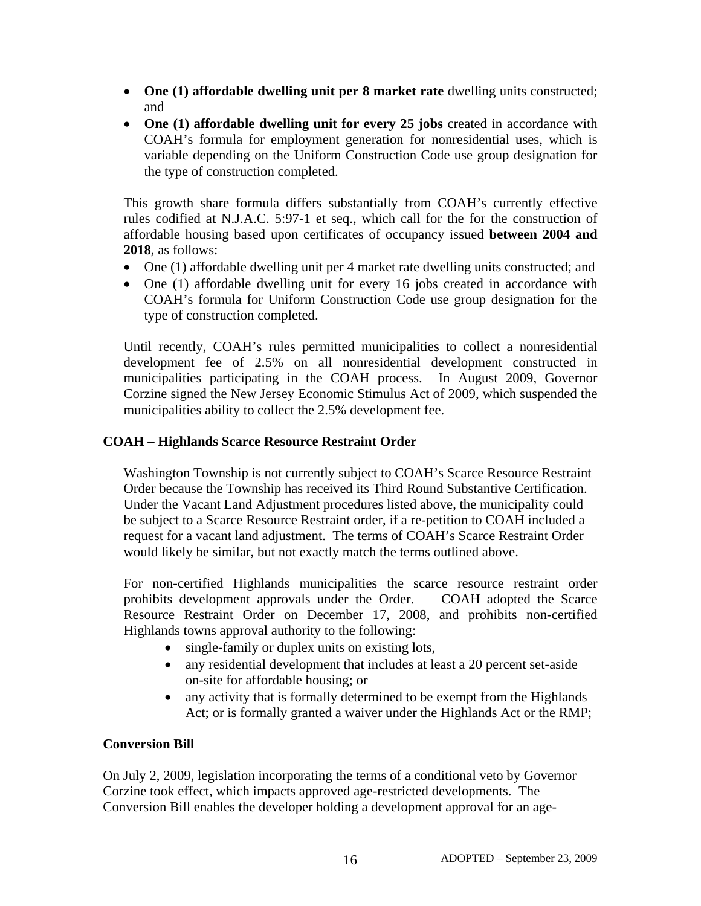- **One (1) affordable dwelling unit per 8 market rate** dwelling units constructed; and
- **One (1) affordable dwelling unit for every 25 jobs** created in accordance with COAH's formula for employment generation for nonresidential uses, which is variable depending on the Uniform Construction Code use group designation for the type of construction completed.

This growth share formula differs substantially from COAH's currently effective rules codified at N.J.A.C. 5:97-1 et seq., which call for the for the construction of affordable housing based upon certificates of occupancy issued **between 2004 and 2018**, as follows:

- One (1) affordable dwelling unit per 4 market rate dwelling units constructed; and
- One (1) affordable dwelling unit for every 16 jobs created in accordance with COAH's formula for Uniform Construction Code use group designation for the type of construction completed.

Until recently, COAH's rules permitted municipalities to collect a nonresidential development fee of 2.5% on all nonresidential development constructed in municipalities participating in the COAH process. In August 2009, Governor Corzine signed the New Jersey Economic Stimulus Act of 2009, which suspended the municipalities ability to collect the 2.5% development fee.

## **COAH – Highlands Scarce Resource Restraint Order**

Washington Township is not currently subject to COAH's Scarce Resource Restraint Order because the Township has received its Third Round Substantive Certification. Under the Vacant Land Adjustment procedures listed above, the municipality could be subject to a Scarce Resource Restraint order, if a re-petition to COAH included a request for a vacant land adjustment. The terms of COAH's Scarce Restraint Order would likely be similar, but not exactly match the terms outlined above.

For non-certified Highlands municipalities the scarce resource restraint order prohibits development approvals under the Order. COAH adopted the Scarce Resource Restraint Order on December 17, 2008, and prohibits non-certified Highlands towns approval authority to the following:

- single-family or duplex units on existing lots,
- any residential development that includes at least a 20 percent set-aside on-site for affordable housing; or
- any activity that is formally determined to be exempt from the Highlands Act; or is formally granted a waiver under the Highlands Act or the RMP;

## **Conversion Bill**

On July 2, 2009, legislation incorporating the terms of a conditional veto by Governor Corzine took effect, which impacts approved age-restricted developments. The Conversion Bill enables the developer holding a development approval for an age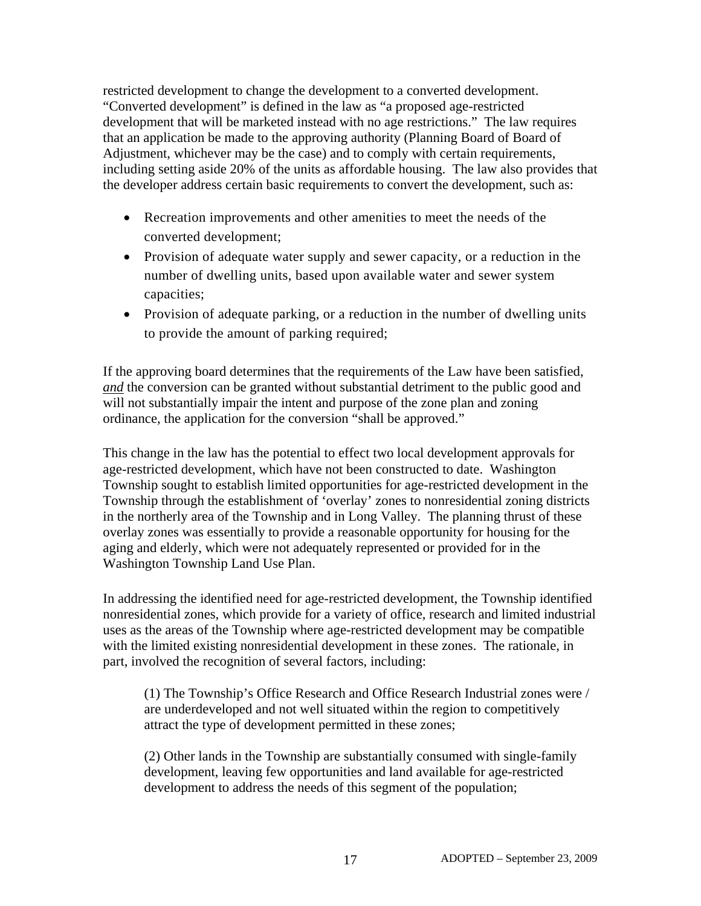restricted development to change the development to a converted development. "Converted development" is defined in the law as "a proposed age-restricted development that will be marketed instead with no age restrictions." The law requires that an application be made to the approving authority (Planning Board of Board of Adjustment, whichever may be the case) and to comply with certain requirements, including setting aside 20% of the units as affordable housing. The law also provides that the developer address certain basic requirements to convert the development, such as:

- Recreation improvements and other amenities to meet the needs of the converted development;
- Provision of adequate water supply and sewer capacity, or a reduction in the number of dwelling units, based upon available water and sewer system capacities;
- Provision of adequate parking, or a reduction in the number of dwelling units to provide the amount of parking required;

If the approving board determines that the requirements of the Law have been satisfied, *and* the conversion can be granted without substantial detriment to the public good and will not substantially impair the intent and purpose of the zone plan and zoning ordinance, the application for the conversion "shall be approved."

This change in the law has the potential to effect two local development approvals for age-restricted development, which have not been constructed to date. Washington Township sought to establish limited opportunities for age-restricted development in the Township through the establishment of 'overlay' zones to nonresidential zoning districts in the northerly area of the Township and in Long Valley. The planning thrust of these overlay zones was essentially to provide a reasonable opportunity for housing for the aging and elderly, which were not adequately represented or provided for in the Washington Township Land Use Plan.

In addressing the identified need for age-restricted development, the Township identified nonresidential zones, which provide for a variety of office, research and limited industrial uses as the areas of the Township where age-restricted development may be compatible with the limited existing nonresidential development in these zones. The rationale, in part, involved the recognition of several factors, including:

(1) The Township's Office Research and Office Research Industrial zones were / are underdeveloped and not well situated within the region to competitively attract the type of development permitted in these zones;

(2) Other lands in the Township are substantially consumed with single-family development, leaving few opportunities and land available for age-restricted development to address the needs of this segment of the population;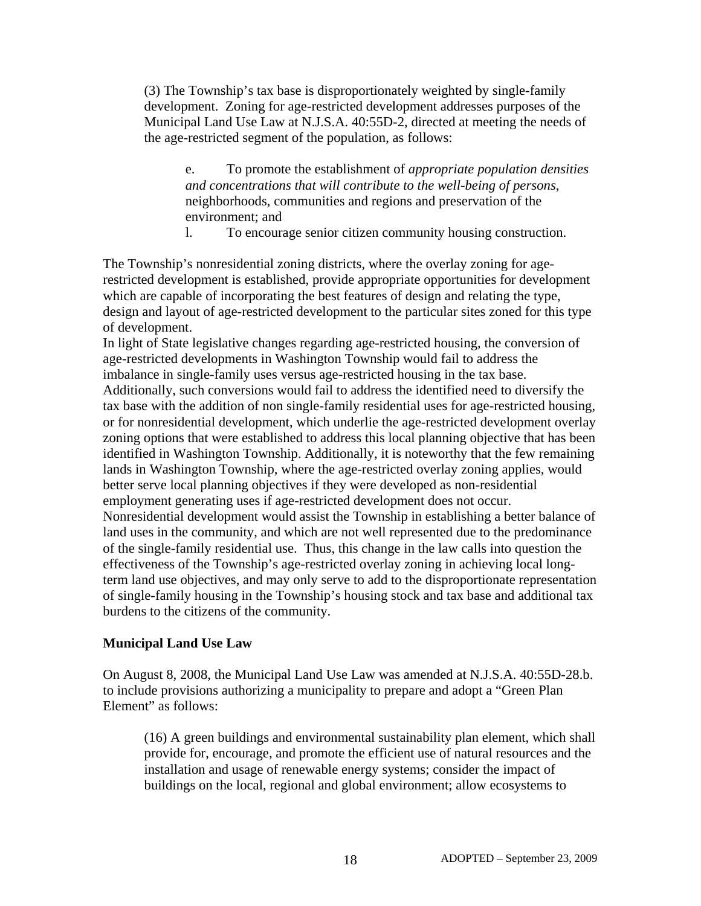(3) The Township's tax base is disproportionately weighted by single-family development. Zoning for age-restricted development addresses purposes of the Municipal Land Use Law at N.J.S.A. 40:55D-2, directed at meeting the needs of the age-restricted segment of the population, as follows:

e. To promote the establishment of *appropriate population densities and concentrations that will contribute to the well-being of persons*, neighborhoods, communities and regions and preservation of the environment; and

l. To encourage senior citizen community housing construction.

The Township's nonresidential zoning districts, where the overlay zoning for agerestricted development is established, provide appropriate opportunities for development which are capable of incorporating the best features of design and relating the type, design and layout of age-restricted development to the particular sites zoned for this type of development.

In light of State legislative changes regarding age-restricted housing, the conversion of age-restricted developments in Washington Township would fail to address the imbalance in single-family uses versus age-restricted housing in the tax base. Additionally, such conversions would fail to address the identified need to diversify the tax base with the addition of non single-family residential uses for age-restricted housing, or for nonresidential development, which underlie the age-restricted development overlay zoning options that were established to address this local planning objective that has been identified in Washington Township. Additionally, it is noteworthy that the few remaining lands in Washington Township, where the age-restricted overlay zoning applies, would better serve local planning objectives if they were developed as non-residential employment generating uses if age-restricted development does not occur. Nonresidential development would assist the Township in establishing a better balance of land uses in the community, and which are not well represented due to the predominance of the single-family residential use. Thus, this change in the law calls into question the effectiveness of the Township's age-restricted overlay zoning in achieving local longterm land use objectives, and may only serve to add to the disproportionate representation of single-family housing in the Township's housing stock and tax base and additional tax burdens to the citizens of the community.

## **Municipal Land Use Law**

On August 8, 2008, the Municipal Land Use Law was amended at N.J.S.A. 40:55D-28.b. to include provisions authorizing a municipality to prepare and adopt a "Green Plan Element" as follows:

(16) A green buildings and environmental sustainability plan element, which shall provide for, encourage, and promote the efficient use of natural resources and the installation and usage of renewable energy systems; consider the impact of buildings on the local, regional and global environment; allow ecosystems to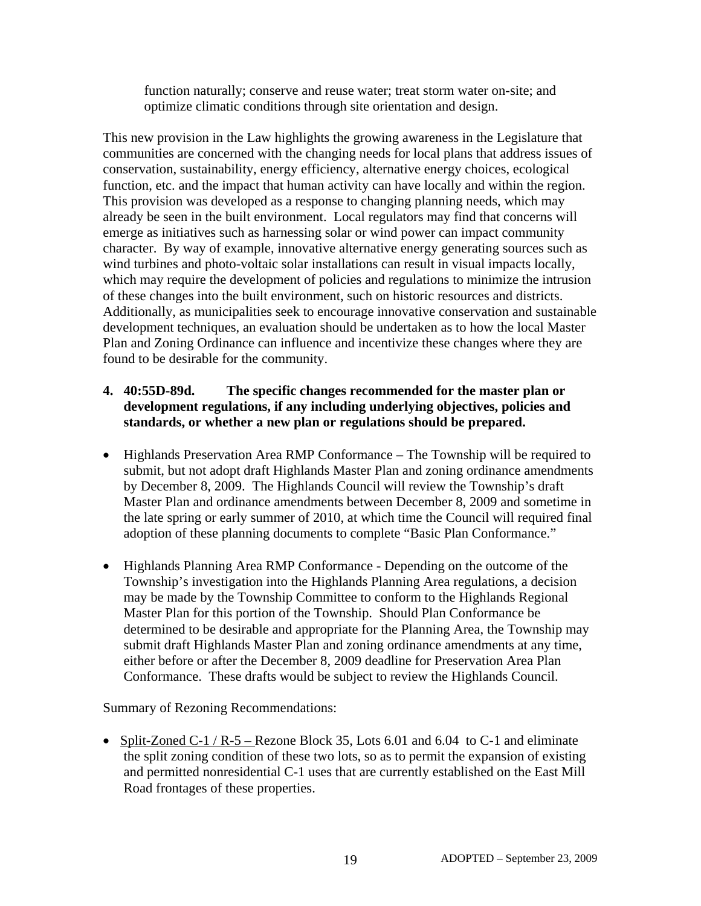function naturally; conserve and reuse water; treat storm water on-site; and optimize climatic conditions through site orientation and design.

This new provision in the Law highlights the growing awareness in the Legislature that communities are concerned with the changing needs for local plans that address issues of conservation, sustainability, energy efficiency, alternative energy choices, ecological function, etc. and the impact that human activity can have locally and within the region. This provision was developed as a response to changing planning needs, which may already be seen in the built environment. Local regulators may find that concerns will emerge as initiatives such as harnessing solar or wind power can impact community character. By way of example, innovative alternative energy generating sources such as wind turbines and photo-voltaic solar installations can result in visual impacts locally, which may require the development of policies and regulations to minimize the intrusion of these changes into the built environment, such on historic resources and districts. Additionally, as municipalities seek to encourage innovative conservation and sustainable development techniques, an evaluation should be undertaken as to how the local Master Plan and Zoning Ordinance can influence and incentivize these changes where they are found to be desirable for the community.

# **4. 40:55D-89d. The specific changes recommended for the master plan or development regulations, if any including underlying objectives, policies and standards, or whether a new plan or regulations should be prepared.**

- Highlands Preservation Area RMP Conformance The Township will be required to submit, but not adopt draft Highlands Master Plan and zoning ordinance amendments by December 8, 2009. The Highlands Council will review the Township's draft Master Plan and ordinance amendments between December 8, 2009 and sometime in the late spring or early summer of 2010, at which time the Council will required final adoption of these planning documents to complete "Basic Plan Conformance."
- Highlands Planning Area RMP Conformance Depending on the outcome of the Township's investigation into the Highlands Planning Area regulations, a decision may be made by the Township Committee to conform to the Highlands Regional Master Plan for this portion of the Township. Should Plan Conformance be determined to be desirable and appropriate for the Planning Area, the Township may submit draft Highlands Master Plan and zoning ordinance amendments at any time, either before or after the December 8, 2009 deadline for Preservation Area Plan Conformance. These drafts would be subject to review the Highlands Council.

Summary of Rezoning Recommendations:

• Split-Zoned C-1 / R-5 – Rezone Block 35, Lots 6.01 and 6.04 to C-1 and eliminate the split zoning condition of these two lots, so as to permit the expansion of existing and permitted nonresidential C-1 uses that are currently established on the East Mill Road frontages of these properties.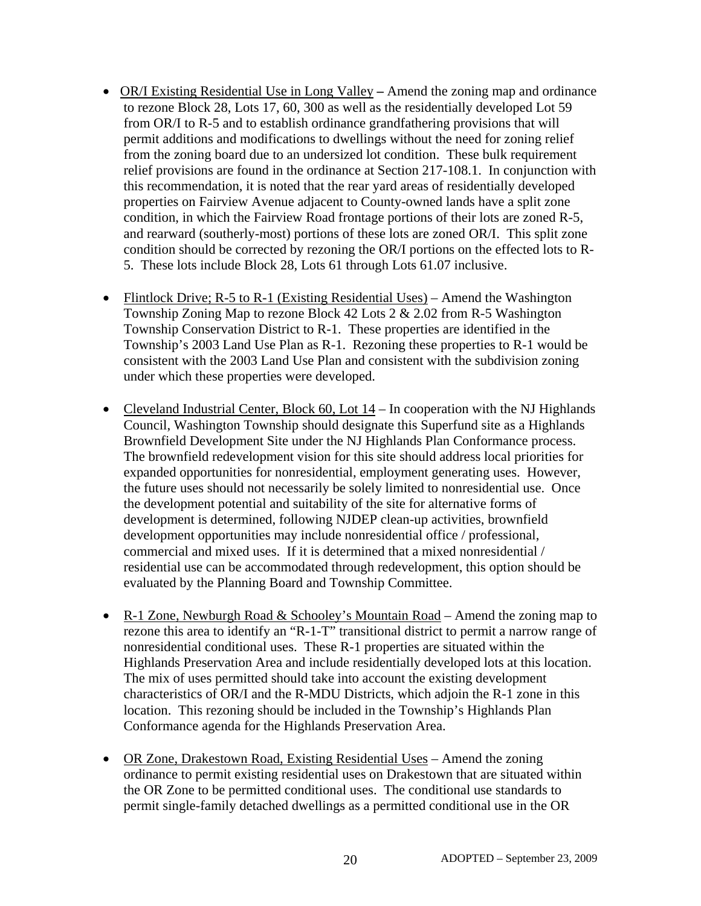- OR/I Existing Residential Use in Long ValleyAmend the zoning map and ordinance to rezone Block 28, Lots 17, 60, 300 as well as the residentially developed Lot 59 from OR/I to R-5 and to establish ordinance grandfathering provisions that will permit additions and modifications to dwellings without the need for zoning relief from the zoning board due to an undersized lot condition. These bulk requirement relief provisions are found in the ordinance at Section 217-108.1. In conjunction with this recommendation, it is noted that the rear yard areas of residentially developed properties on Fairview Avenue adjacent to County-owned lands have a split zone condition, in which the Fairview Road frontage portions of their lots are zoned R-5, and rearward (southerly-most) portions of these lots are zoned OR/I. This split zone condition should be corrected by rezoning the OR/I portions on the effected lots to R-5. These lots include Block 28, Lots 61 through Lots 61.07 inclusive.
- Flintlock Drive; R-5 to R-1 (Existing Residential Uses) Amend the Washington Township Zoning Map to rezone Block 42 Lots 2 & 2.02 from R-5 Washington Township Conservation District to R-1. These properties are identified in the Township's 2003 Land Use Plan as R-1. Rezoning these properties to R-1 would be consistent with the 2003 Land Use Plan and consistent with the subdivision zoning under which these properties were developed.
- Cleveland Industrial Center, Block 60, Lot 14 In cooperation with the NJ Highlands Council, Washington Township should designate this Superfund site as a Highlands Brownfield Development Site under the NJ Highlands Plan Conformance process. The brownfield redevelopment vision for this site should address local priorities for expanded opportunities for nonresidential, employment generating uses. However, the future uses should not necessarily be solely limited to nonresidential use. Once the development potential and suitability of the site for alternative forms of development is determined, following NJDEP clean-up activities, brownfield development opportunities may include nonresidential office / professional, commercial and mixed uses. If it is determined that a mixed nonresidential / residential use can be accommodated through redevelopment, this option should be evaluated by the Planning Board and Township Committee.
- R-1 Zone, Newburgh Road & Schooley's Mountain Road Amend the zoning map to rezone this area to identify an "R-1-T" transitional district to permit a narrow range of nonresidential conditional uses. These R-1 properties are situated within the Highlands Preservation Area and include residentially developed lots at this location. The mix of uses permitted should take into account the existing development characteristics of OR/I and the R-MDU Districts, which adjoin the R-1 zone in this location. This rezoning should be included in the Township's Highlands Plan Conformance agenda for the Highlands Preservation Area.
- OR Zone, Drakestown Road, Existing Residential Uses Amend the zoning ordinance to permit existing residential uses on Drakestown that are situated within the OR Zone to be permitted conditional uses. The conditional use standards to permit single-family detached dwellings as a permitted conditional use in the OR